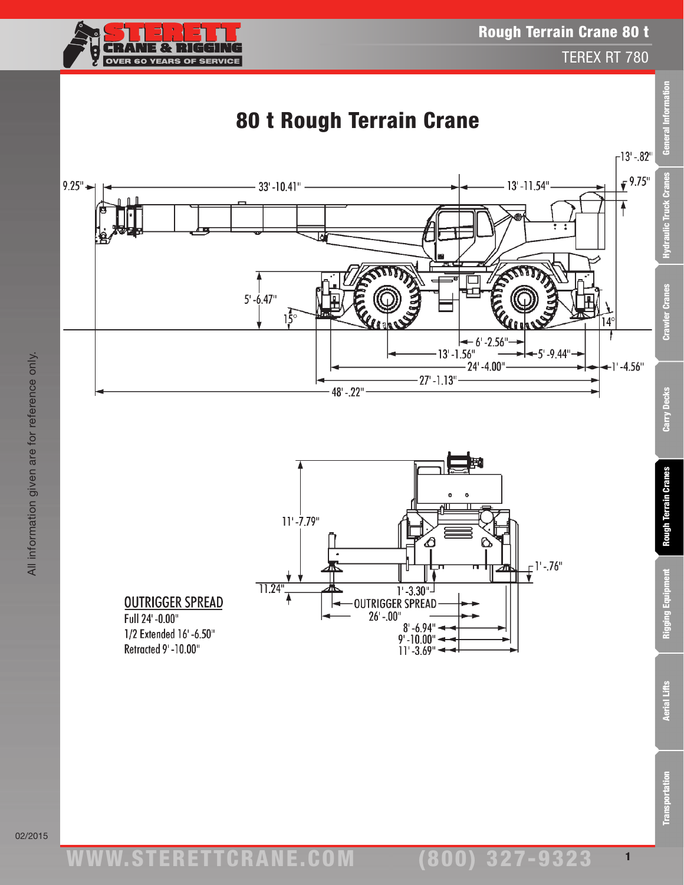



02/2015

www.STERETTCRAnE.Com

**Transportation** 

**Aerial Lifts** 

1

(800) 327-9323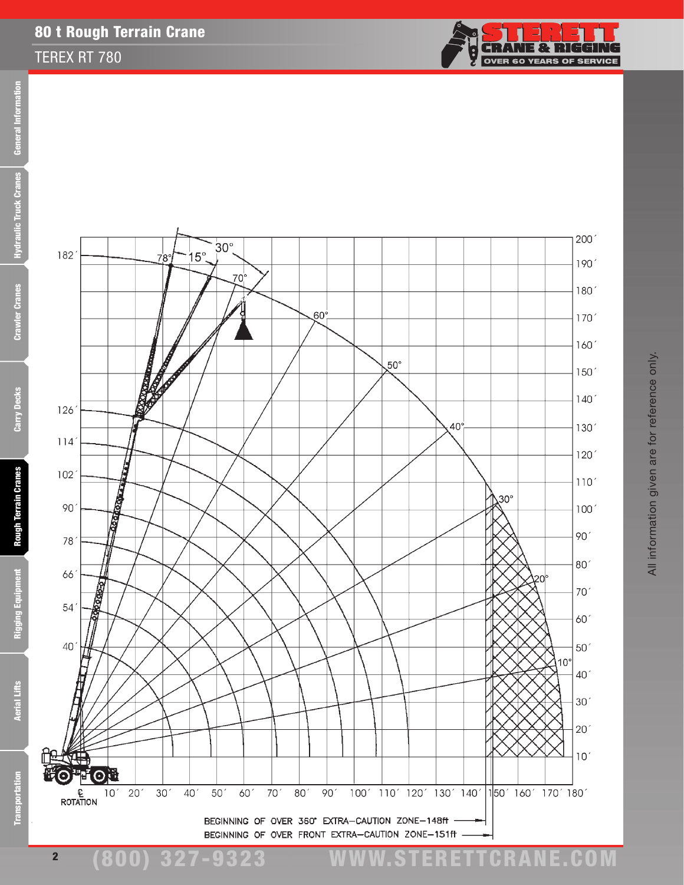## 80 t Rough Terrain Crane

## TEREX RT 780



General Information Transportation Aerial Lifts Rigging Equipment Rough Terrain Cranes Carry Decks Crawler Cranes Hydraulic Truck Cranes General Information Hydraulic Truck Cranes



(800) 327-9323 www.STERETTCRAnE.Com

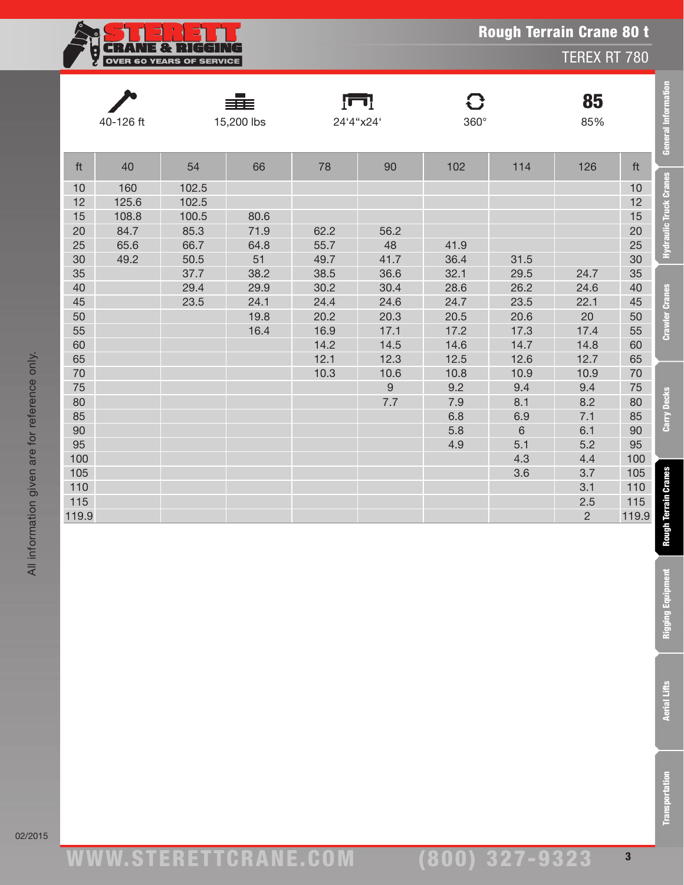|       |           |                                 |            | <b>Rough Terrain Crane 80 t</b> |                |             |       |                     |       |
|-------|-----------|---------------------------------|------------|---------------------------------|----------------|-------------|-------|---------------------|-------|
|       | :<br>2    | <b>OVER 60 YEARS OF SERVICE</b> |            |                                 |                |             |       | <b>TEREX RT 780</b> |       |
|       |           |                                 |            |                                 |                |             |       |                     |       |
|       |           |                                 | ≣≣≡        |                                 | ┑              | G           |       | 85                  |       |
|       | 40-126 ft |                                 | 15,200 lbs |                                 | 24'4"x24'      | $360^\circ$ |       | 85%                 |       |
|       |           |                                 |            |                                 |                |             |       |                     |       |
| ft    | 40        | 54                              | 66         | 78                              | 90             | 102         | 114   | 126                 | ft    |
| 10    | 160       | 102.5                           |            |                                 |                |             |       |                     | 10    |
| 12    | 125.6     | 102.5                           |            |                                 |                |             |       |                     | 12    |
| 15    | 108.8     | 100.5                           | 80.6       |                                 |                |             |       |                     | 15    |
| 20    | 84.7      | 85.3                            | 71.9       | 62.2                            | 56.2           |             |       |                     | 20    |
| 25    | 65.6      | 66.7                            | 64.8       | 55.7                            | 48             | 41.9        |       |                     | 25    |
| 30    | 49.2      | 50.5                            | 51         | 49.7                            | 41.7           | 36.4        | 31.5  |                     | 30    |
| 35    |           | 37.7                            | 38.2       | 38.5                            | 36.6           | 32.1        | 29.5  | 24.7                | 35    |
| 40    |           | 29.4                            | 29.9       | 30.2                            | 30.4           | 28.6        | 26.2  | 24.6                | 40    |
| 45    |           | 23.5                            | 24.1       | 24.4                            | 24.6           | 24.7        | 23.5  | 22.1                | 45    |
| 50    |           |                                 | 19.8       | 20.2                            | 20.3           | 20.5        | 20.6  | 20                  | 50    |
| 55    |           |                                 | 16.4       | 16.9                            | 17.1           | 17.2        | 17.3  | 17.4                | 55    |
| 60    |           |                                 |            | 14.2                            | 14.5           | 14.6        | 14.7  | 14.8                | 60    |
| 65    |           |                                 |            | 12.1                            | 12.3           | 12.5        | 12.6  | 12.7                | 65    |
| 70    |           |                                 |            | 10.3                            | 10.6           | 10.8        | 10.9  | 10.9                | 70    |
| 75    |           |                                 |            |                                 | $\overline{9}$ | 9.2         | 9.4   | 9.4                 | 75    |
| 80    |           |                                 |            |                                 | 7.7            | 7.9         | 8.1   | 8.2                 | 80    |
| 85    |           |                                 |            |                                 |                | 6.8         | 6.9   | 7.1                 | 85    |
| 90    |           |                                 |            |                                 |                | 5.8         | $6\,$ | 6.1                 | 90    |
| 95    |           |                                 |            |                                 |                | 4.9         | 5.1   | 5.2                 | 95    |
| 100   |           |                                 |            |                                 |                |             | 4.3   | 4.4                 | 100   |
| 105   |           |                                 |            |                                 |                |             | 3.6   | 3.7                 | 105   |
| 110   |           |                                 |            |                                 |                |             |       | 3.1                 | 110   |
| 115   |           |                                 |            |                                 |                |             |       | 2.5                 | 115   |
| 119.9 |           |                                 |            |                                 |                |             |       | $\overline{2}$      | 119.9 |

**General Information** 

**Hydraulic Truck Cranes** 

**Crawler Cranes** 

Carry Decks

**Rough Terrain Cranes** 

02/2015